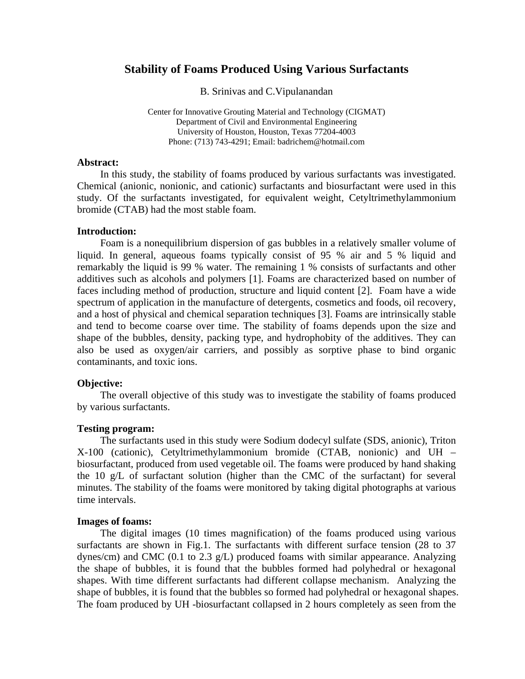# **Stability of Foams Produced Using Various Surfactants**

B. Srinivas and C.Vipulanandan

Center for Innovative Grouting Material and Technology (CIGMAT) Department of Civil and Environmental Engineering University of Houston, Houston, Texas 77204-4003 Phone: (713) 743-4291; Email: badrichem@hotmail.com

### **Abstract:**

In this study, the stability of foams produced by various surfactants was investigated. Chemical (anionic, nonionic, and cationic) surfactants and biosurfactant were used in this study. Of the surfactants investigated, for equivalent weight, Cetyltrimethylammonium bromide (CTAB) had the most stable foam.

## **Introduction:**

Foam is a nonequilibrium dispersion of gas bubbles in a relatively smaller volume of liquid. In general, aqueous foams typically consist of 95 % air and 5 % liquid and remarkably the liquid is 99 % water. The remaining 1 % consists of surfactants and other additives such as alcohols and polymers [1]. Foams are characterized based on number of faces including method of production, structure and liquid content [2]. Foam have a wide spectrum of application in the manufacture of detergents, cosmetics and foods, oil recovery, and a host of physical and chemical separation techniques [3]. Foams are intrinsically stable and tend to become coarse over time. The stability of foams depends upon the size and shape of the bubbles, density, packing type, and hydrophobity of the additives. They can also be used as oxygen/air carriers, and possibly as sorptive phase to bind organic contaminants, and toxic ions.

## **Objective:**

The overall objective of this study was to investigate the stability of foams produced by various surfactants.

## **Testing program:**

The surfactants used in this study were Sodium dodecyl sulfate (SDS, anionic), Triton X-100 (cationic), Cetyltrimethylammonium bromide (CTAB, nonionic) and UH – biosurfactant, produced from used vegetable oil. The foams were produced by hand shaking the 10 g/L of surfactant solution (higher than the CMC of the surfactant) for several minutes. The stability of the foams were monitored by taking digital photographs at various time intervals.

#### **Images of foams:**

The digital images (10 times magnification) of the foams produced using various surfactants are shown in Fig.1. The surfactants with different surface tension (28 to 37 dynes/cm) and CMC (0.1 to 2.3 g/L) produced foams with similar appearance. Analyzing the shape of bubbles, it is found that the bubbles formed had polyhedral or hexagonal shapes. With time different surfactants had different collapse mechanism. Analyzing the shape of bubbles, it is found that the bubbles so formed had polyhedral or hexagonal shapes. The foam produced by UH -biosurfactant collapsed in 2 hours completely as seen from the